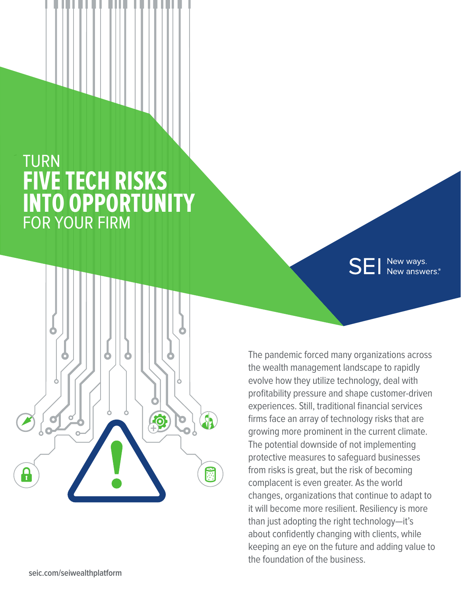## TURN **FIVE TECH RISKS INTO OPPORTUNITY** FOR YOUR FIRM



**SEI** New ways.<br>SEI New answers.

The pandemic forced many organizations across the wealth management landscape to rapidly evolve how they utilize technology, deal with profitability pressure and shape customer-driven experiences. Still, traditional financial services firms face an array of technology risks that are growing more prominent in the current climate. The potential downside of not implementing protective measures to safeguard businesses from risks is great, but the risk of becoming complacent is even greater. As the world changes, organizations that continue to adapt to it will become more resilient. Resiliency is more than just adopting the right technology—it's about confidently changing with clients, while keeping an eye on the future and adding value to the foundation of the business.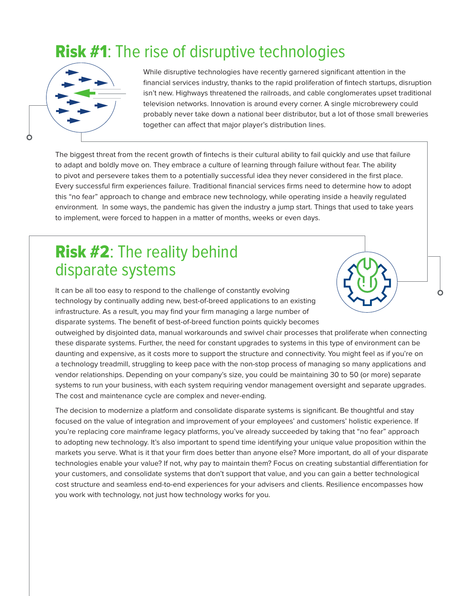#### **Risk #1:** The rise of disruptive technologies



While disruptive technologies have recently garnered significant attention in the financial services industry, thanks to the rapid proliferation of fintech startups, disruption isn't new. Highways threatened the railroads, and cable conglomerates upset traditional television networks. Innovation is around every corner. A single microbrewery could probably never take down a national beer distributor, but a lot of those small breweries together can affect that major player's distribution lines.

The biggest threat from the recent growth of fintechs is their cultural ability to fail quickly and use that failure to adapt and boldly move on. They embrace a culture of learning through failure without fear. The ability to pivot and persevere takes them to a potentially successful idea they never considered in the first place. Every successful firm experiences failure. Traditional financial services firms need to determine how to adopt this "no fear" approach to change and embrace new technology, while operating inside a heavily regulated environment. In some ways, the pandemic has given the industry a jump start. Things that used to take years to implement, were forced to happen in a matter of months, weeks or even days.

# this "no fear"<br>
environment.<br>
to implement.<br> **RISK #**<br> **CISDAT** Risk #2: The reality behind disparate systems

It can be all too easy to respond to the challenge of constantly evolving technology by continually adding new, best-of-breed applications to an existing infrastructure. As a result, you may find your firm managing a large number of disparate systems. The benefit of best-of-breed function points quickly becomes

outweighed by disjointed data, manual workarounds and swivel chair processes that proliferate when connecting these disparate systems. Further, the need for constant upgrades to systems in this type of environment can be daunting and expensive, as it costs more to support the structure and connectivity. You might feel as if you're on a technology treadmill, struggling to keep pace with the non-stop process of managing so many applications and vendor relationships. Depending on your company's size, you could be maintaining 30 to 50 (or more) separate systems to run your business, with each system requiring vendor management oversight and separate upgrades. The cost and maintenance cycle are complex and never-ending.

The decision to modernize a platform and consolidate disparate systems is significant. Be thoughtful and stay focused on the value of integration and improvement of your employees' and customers' holistic experience. If you're replacing core mainframe legacy platforms, you've already succeeded by taking that "no fear" approach to adopting new technology. It's also important to spend time identifying your unique value proposition within the markets you serve. What is it that your firm does better than anyone else? More important, do all of your disparate technologies enable your value? If not, why pay to maintain them? Focus on creating substantial differentiation for your customers, and consolidate systems that don't support that value, and you can gain a better technological cost structure and seamless end-to-end experiences for your advisers and clients. Resilience encompasses how you work with technology, not just how technology works for you.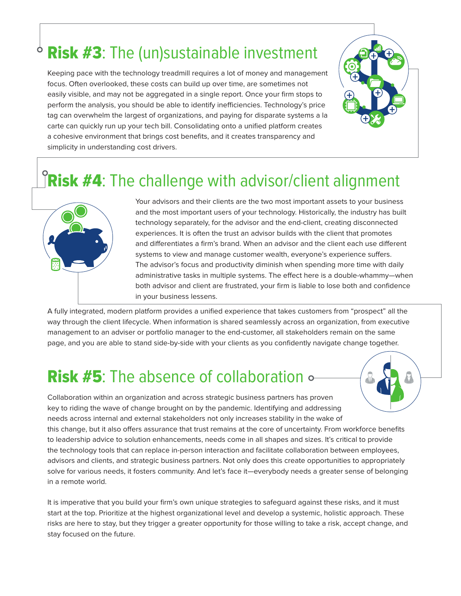#### Risk #3: The (un)sustainable investment  $\bullet$

Keeping pace with the technology treadmill requires a lot of money and management focus. Often overlooked, these costs can build up over time, are sometimes not easily visible, and may not be aggregated in a single report. Once your firm stops to perform the analysis, you should be able to identify inefficiencies. Technology's price tag can overwhelm the largest of organizations, and paying for disparate systems a la carte can quickly run up your tech bill. Consolidating onto a unified platform creates a cohesive environment that brings cost benefits, and it creates transparency and simplicity in understanding cost drivers. **Risk #3:** The (un)sustainable investment<br>
Keeping pace with the technology treadmill requires a lot of money and management<br>
ocus. Often overlooked, these costs can build up over time, are sometimes not<br>
asily visible, an



## Risk #4: The challenge with advisor/client alignment



Your advisors and their clients are the two most important assets to your business and the most important users of your technology. Historically, the industry has built technology separately, for the advisor and the end-client, creating disconnected experiences. It is often the trust an advisor builds with the client that promotes and differentiates a firm's brand. When an advisor and the client each use different systems to view and manage customer wealth, everyone's experience suffers. The advisor's focus and productivity diminish when spending more time with daily administrative tasks in multiple systems. The effect here is a double-whammy—when both advisor and client are frustrated, your firm is liable to lose both and confidence in your business lessens. **ment**<br>
stry has built<br>
stry has built<br>
connected<br>
rromotes

A fully integrated, modern platform provides a unified experience that takes customers from "prospect" all the way through the client lifecycle. When information is shared seamlessly across an organization, from executive management to an adviser or portfolio manager to the end-customer, all stakeholders remain on the same page, and you are able to stand side-by-side with your clients as you confidently navigate change together.

## Risk #5: The absence of collaboration  $\circ$



Collaboration within an organization and across strategic business partners has proven key to riding the wave of change brought on by the pandemic. Identifying and addressing needs across internal and external stakeholders not only increases stability in the wake of this change, but it also offers assurance that trust remains at the core of uncertainty. From workforce benefits to leadership advice to solution enhancements, needs come in all shapes and sizes. It's critical to provide the technology tools that can replace in-person interaction and facilitate collaboration between employees, advisors and clients, and strategic business partners. Not only does this create opportunities to appropriately solve for various needs, it fosters community. And let's face it—everybody needs a greater sense of belonging in a remote world.

It is imperative that you build your firm's own unique strategies to safeguard against these risks, and it must start at the top. Prioritize at the highest organizational level and develop a systemic, holistic approach. These risks are here to stay, but they trigger a greater opportunity for those willing to take a risk, accept change, and stay focused on the future.